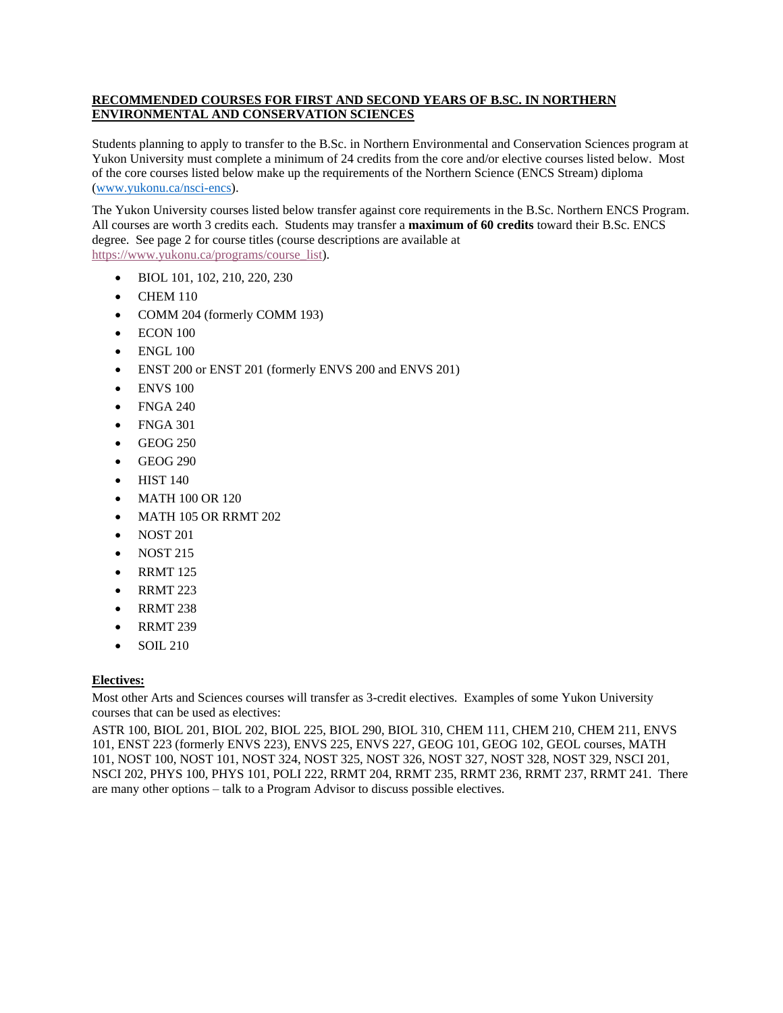## **RECOMMENDED COURSES FOR FIRST AND SECOND YEARS OF B.SC. IN NORTHERN ENVIRONMENTAL AND CONSERVATION SCIENCES**

Students planning to apply to transfer to the B.Sc. in Northern Environmental and Conservation Sciences program at Yukon University must complete a minimum of 24 credits from the core and/or elective courses listed below. Most of the core courses listed below make up the requirements of the Northern Science (ENCS Stream) diploma [\(www.yukonu.ca/nsci-encs\)](http://www.yukonu.ca/nsci-encs).

The Yukon University courses listed below transfer against core requirements in the B.Sc. Northern ENCS Program. All courses are worth 3 credits each. Students may transfer a **maximum of 60 credits** toward their B.Sc. ENCS degree. See page 2 for course titles (course descriptions are available at [https://www.yukonu.ca/programs/course\\_list\)](https://www.yukonu.ca/programs/course_list).

- BIOL 101, 102, 210, 220, 230
- CHEM 110
- COMM 204 (formerly COMM 193)
- ECON 100
- ENGL 100
- ENST 200 or ENST 201 (formerly ENVS 200 and ENVS 201)
- ENVS 100
- FNGA 240
- FNGA 301
- GEOG 250
- GEOG 290
- HIST 140
- MATH 100 OR 120
- MATH 105 OR RRMT 202
- NOST 201
- NOST 215
- RRMT 125
- RRMT 223
- RRMT 238
- RRMT 239
- SOIL 210

## **Electives:**

Most other Arts and Sciences courses will transfer as 3-credit electives. Examples of some Yukon University courses that can be used as electives:

ASTR 100, BIOL 201, BIOL 202, BIOL 225, BIOL 290, BIOL 310, CHEM 111, CHEM 210, CHEM 211, ENVS 101, ENST 223 (formerly ENVS 223), ENVS 225, ENVS 227, GEOG 101, GEOG 102, GEOL courses, MATH 101, NOST 100, NOST 101, NOST 324, NOST 325, NOST 326, NOST 327, NOST 328, NOST 329, NSCI 201, NSCI 202, PHYS 100, PHYS 101, POLI 222, RRMT 204, RRMT 235, RRMT 236, RRMT 237, RRMT 241. There are many other options – talk to a Program Advisor to discuss possible electives.